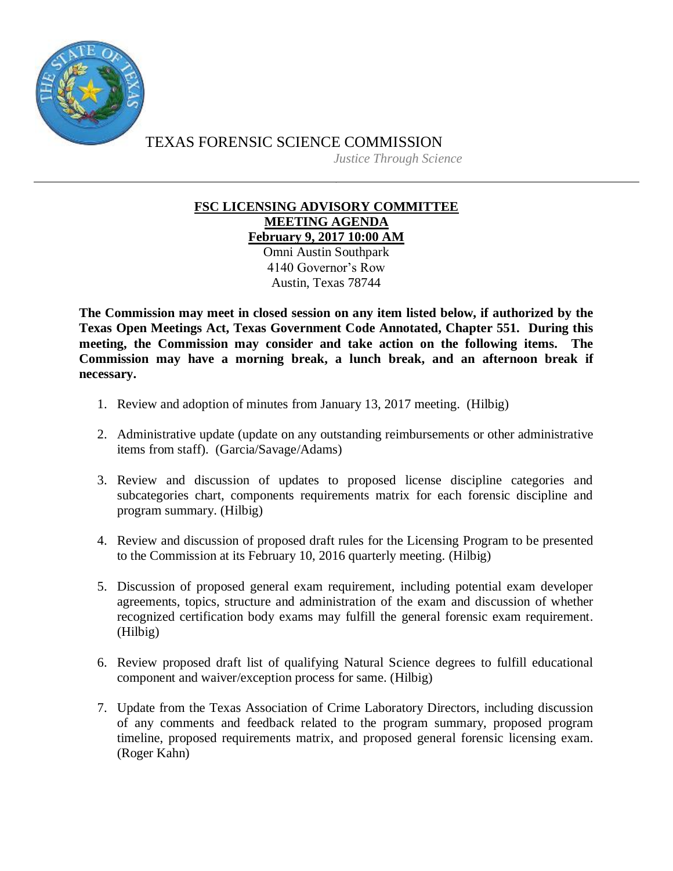

TEXAS FORENSIC SCIENCE COMMISSION *Justice Through Science*

## **FSC LICENSING ADVISORY COMMITTEE MEETING AGENDA February 9, 2017 10:00 AM**

Omni Austin Southpark 4140 Governor's Row Austin, Texas 78744

**The Commission may meet in closed session on any item listed below, if authorized by the Texas Open Meetings Act, Texas Government Code Annotated, Chapter 551. During this meeting, the Commission may consider and take action on the following items. The Commission may have a morning break, a lunch break, and an afternoon break if necessary.**

- 1. Review and adoption of minutes from January 13, 2017 meeting. (Hilbig)
- 2. Administrative update (update on any outstanding reimbursements or other administrative items from staff). (Garcia/Savage/Adams)
- 3. Review and discussion of updates to proposed license discipline categories and subcategories chart, components requirements matrix for each forensic discipline and program summary. (Hilbig)
- 4. Review and discussion of proposed draft rules for the Licensing Program to be presented to the Commission at its February 10, 2016 quarterly meeting. (Hilbig)
- 5. Discussion of proposed general exam requirement, including potential exam developer agreements, topics, structure and administration of the exam and discussion of whether recognized certification body exams may fulfill the general forensic exam requirement. (Hilbig)
- 6. Review proposed draft list of qualifying Natural Science degrees to fulfill educational component and waiver/exception process for same. (Hilbig)
- 7. Update from the Texas Association of Crime Laboratory Directors, including discussion of any comments and feedback related to the program summary, proposed program timeline, proposed requirements matrix, and proposed general forensic licensing exam. (Roger Kahn)